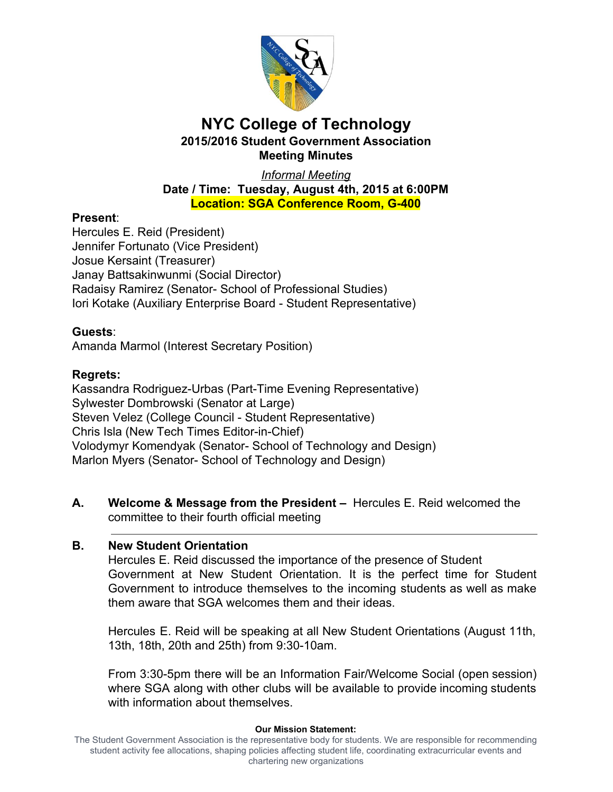

 *Informal Meeting*  **Date / Time: Tuesday, August 4th, 2015 at 6:00PM Location: SGA Conference Room, G400**

## **Present**:

 Hercules E. Reid (President) Jennifer Fortunato (Vice President) Josue Kersaint (Treasurer) Janay Battsakinwunmi (Social Director) Radaisy Ramirez (Senator- School of Professional Studies) Iori Kotake (Auxiliary Enterprise Board - Student Representative)

## **Guests**:

Amanda Marmol (Interest Secretary Position)

## **Regrets:**

Kassandra Rodriguez-Urbas (Part-Time Evening Representative) Sylwester Dombrowski (Senator at Large) Steven Velez (College Council - Student Representative) Chris Isla (New Tech Times Editor-in-Chief) Volodymyr Komendyak (Senator- School of Technology and Design) Marlon Myers (Senator- School of Technology and Design)

 **A. Welcome & Message from the President –** Hercules E. Reid welcomed the committee to their fourth official meeting

## **B. New Student Orientation**

 Hercules E. Reid discussed the importance of the presence of Student Government at New Student Orientation. It is the perfect time for Student Government to introduce themselves to the incoming students as well as make them aware that SGA welcomes them and their ideas.

 Hercules E. Reid will be speaking at all New Student Orientations (August 11th, 13th, 18th, 20th and 25th) from 9:30-10am.

From 3:30-5pm there will be an Information Fair/Welcome Social (open session) where SGA along with other clubs will be available to provide incoming students with information about themselves.

#### **Our Mission Statement:**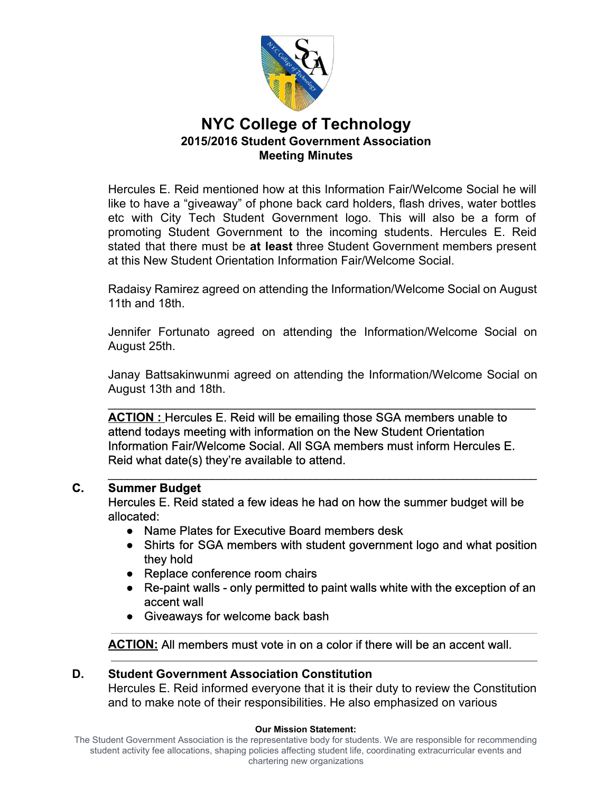

 Hercules E. Reid mentioned how at this Information Fair/Welcome Social he will like to have a "giveaway" of phone back card holders, flash drives, water bottles etc with City Tech Student Government logo. This will also be a form of promoting Student Government to the incoming students. Hercules E. Reid stated that there must be **at least** three Student Government members present at this New Student Orientation Information Fair/Welcome Social.

 Radaisy Ramirez agreed on attending the Information/Welcome Social on August 11th and 18th.

 Jennifer Fortunato agreed on attending the Information/Welcome Social on August 25th.

 Janay Battsakinwunmi agreed on attending the Information/Welcome Social on August 13th and 18th.

 $\mathcal{L}_\text{max}$  and  $\mathcal{L}_\text{max}$  and  $\mathcal{L}_\text{max}$  and  $\mathcal{L}_\text{max}$  and  $\mathcal{L}_\text{max}$  and  $\mathcal{L}_\text{max}$ 

 **ACTION :** Hercules E. Reid will be emailing those SGA members unable to attend todays meeting with information on the New Student Orientation Information Fair/Welcome Social. All SGA members must inform Hercules E. Reid what date(s) they're available to attend.

## **C. Summer Budget**

 Hercules E. Reid stated a few ideas he had on how the summer budget will be allocated:

\_\_\_\_\_\_\_\_\_\_\_\_\_\_\_\_\_\_\_\_\_\_\_\_\_\_\_\_\_\_\_\_\_\_\_\_\_\_\_\_\_\_\_\_\_\_\_\_\_\_\_\_\_\_\_\_\_\_\_\_\_\_\_\_\_\_\_\_\_\_

- Name Plates for Executive Board members desk
- Shirts for SGA members with student government logo and what position they hold
- Replace conference room chairs
- Re-paint walls only permitted to paint walls white with the exception of an accent wall
- Giveaways for welcome back bash

**ACTION:** All members must vote in on a color if there will be an accent wall.

## **D. Student Government Association Constitution**

 Hercules E. Reid informed everyone that it is their duty to review the Constitution and to make note of their responsibilities. He also emphasized on various

#### **Our Mission Statement:**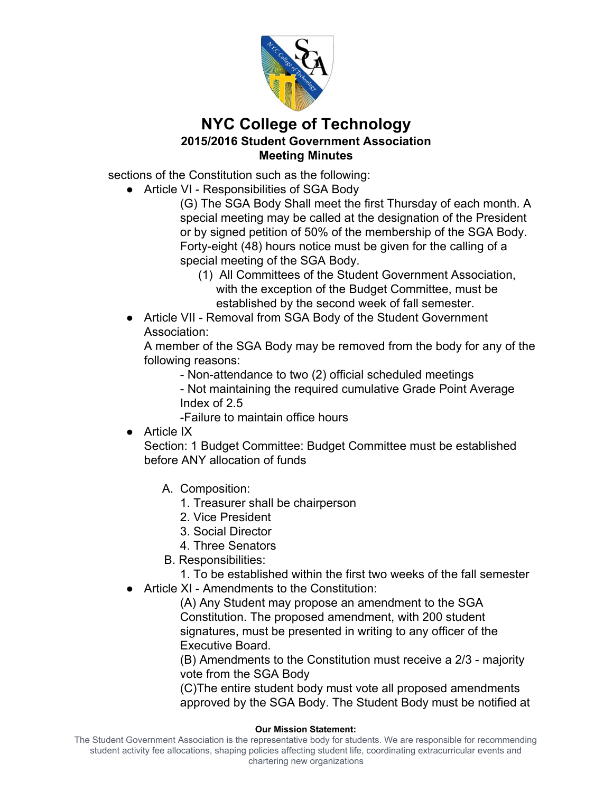

sections of the Constitution such as the following:

● Article VI - Responsibilities of SGA Body

 (G) The SGA Body Shall meet the first Thursday of each month. A special meeting may be called at the designation of the President or by signed petition of 50% of the membership of the SGA Body. Forty-eight (48) hours notice must be given for the calling of a special meeting of the SGA Body.

- (1) All Committees of the Student Government Association, with the exception of the Budget Committee, must be established by the second week of fall semester.
- ● Article VII Removal from SGA Body of the Student Government Association:

 A member of the SGA Body may be removed from the body for any of the following reasons:

- Non-attendance to two (2) official scheduled meetings

 Not maintaining the required cumulative Grade Point Average Index of 2.5

Failure to maintain office hours

● Article IX

 Section: 1 Budget Committee: Budget Committee must be established before ANY allocation of funds

- A. Composition:
	- 1. Treasurer shall be chairperson
	- 2. Vice President
	- 3. Social Director
	- 4. Three Senators
- B. Responsibilities:
	- 1. To be established within the first two weeks of the fall semester
- Article XI Amendments to the Constitution:

 (A) Any Student may propose an amendment to the SGA Constitution. The proposed amendment, with 200 student signatures, must be presented in writing to any officer of the Executive Board.

(B) Amendments to the Constitution must receive a 2/3 - majority vote from the SGA Body

 (C)The entire student body must vote all proposed amendments approved by the SGA Body. The Student Body must be notified at

#### **Our Mission Statement:**